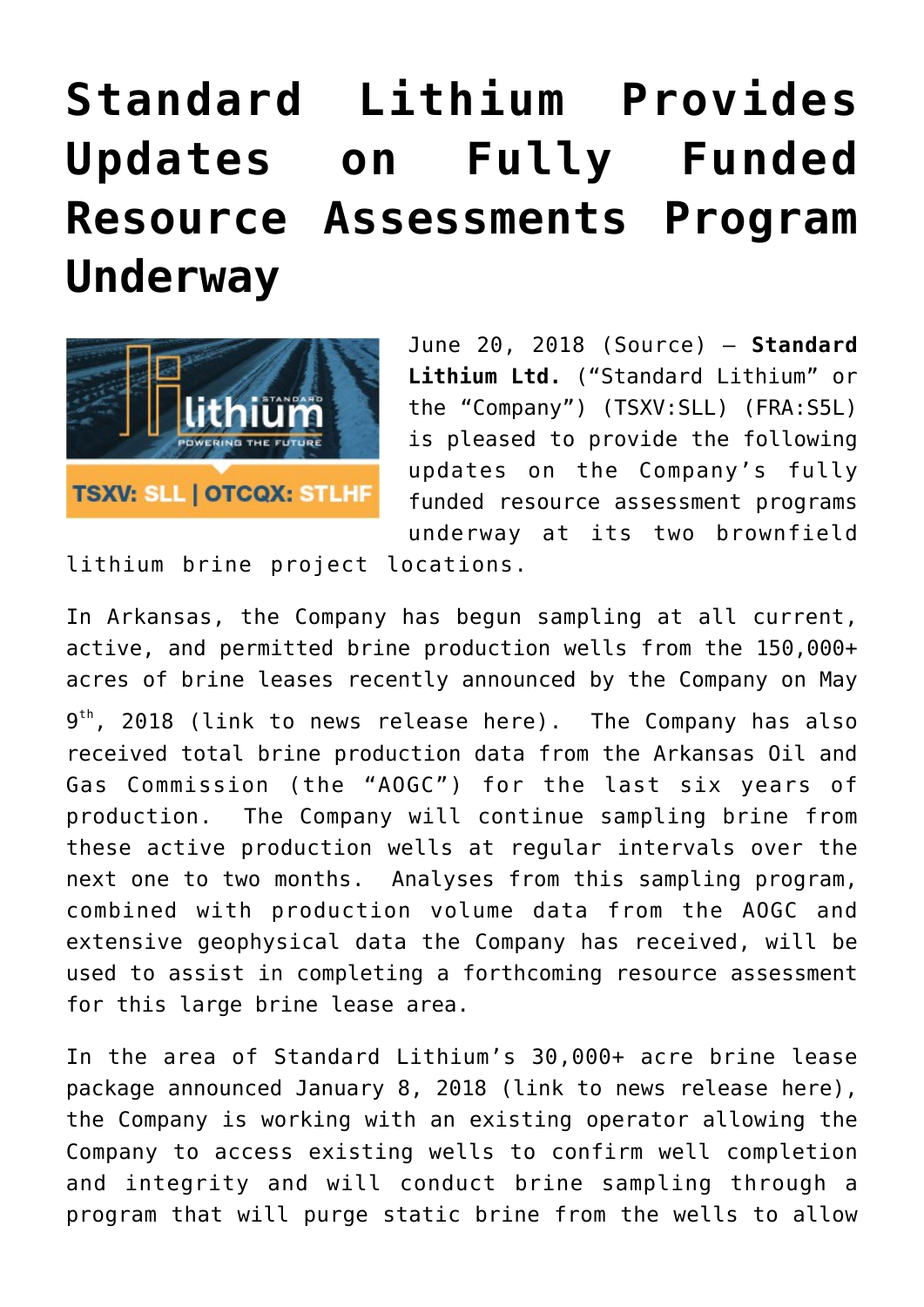# **[Standard Lithium Provides](https://investorintel.com/markets/technology-metals/technology-metals-news/standard-lithium-provides-updates-fully-funded-resource-assessments-program-underway/) [Updates on Fully Funded](https://investorintel.com/markets/technology-metals/technology-metals-news/standard-lithium-provides-updates-fully-funded-resource-assessments-program-underway/) [Resource Assessments Program](https://investorintel.com/markets/technology-metals/technology-metals-news/standard-lithium-provides-updates-fully-funded-resource-assessments-program-underway/) [Underway](https://investorintel.com/markets/technology-metals/technology-metals-news/standard-lithium-provides-updates-fully-funded-resource-assessments-program-underway/)**



June 20, 2018 ([Source](https://investorintel.com/iintel-members/standard-lithium-ltd-2/)) — **Standard Lithium Ltd.** ("Standard Lithium" or the "Company") (TSXV:SLL) (FRA:S5L) is pleased to provide the following updates on the Company's fully funded resource assessment programs underway at its two brownfield

lithium brine project locations.

In Arkansas, the Company has begun sampling at all current, active, and permitted brine production wells from the 150,000+ acres of brine leases recently announced by the Company on May 9<sup>th</sup>, 2018 ([link to news release here\)](https://www.globenewswire.com/Tracker?data=Xs4rWM7sHp524vBPWzvwH1N8nb_e1oRldiCSnqRXkwfCLJ7hC81jfE_sKPr5iNZrDc9C0A7YWdpK6Z0of8_skPBBrn3dDjwtrwpOFoQULodXJToNhzsc46nLjZivrTQ33VNwYXUTNOJn-KBQ23pClKFIxDShJ5KhgCgfFFPlTPAmQ5xPMVhBCSgqY_Niw0ogad--zPW32K1abJ6m84jANzIk0Kbe-0zjj5BGAtYAhBJpCITbvLyUTnKb4tKalFdacTX7hz1ca-RvdEK3zvE4nxFBw3I6GuLss7j2mgtvMaat8Cbj43sI5nSdQ0MTKZiYYYTjrhX8-DSQyaoEZ5Uk66RJ8RE9AWJ0j4f-Pn-Ak5M=). The Company has also received total brine production data from the Arkansas Oil and Gas Commission (the "AOGC") for the last six years of production. The Company will continue sampling brine from these active production wells at regular intervals over the next one to two months. Analyses from this sampling program, combined with production volume data from the AOGC and extensive geophysical data the Company has received, will be used to assist in completing a forthcoming resource assessment for this large brine lease area.

In the area of Standard Lithium's 30,000+ acre brine lease package announced January 8, 2018 ([link to news release here](https://www.globenewswire.com/Tracker?data=Xs4rWM7sHp524vBPWzvwH1N8nb_e1oRldiCSnqRXkwecugnX23j5nH_yUAjDqpReR6z2hY1ZQnwg4PDqBqK9z0sQQg9XqKVnLlJD74c511XRWIVoab0OihH1eH2k5Tj0eUKC59ztTVYsIZWECvcvkoHxRj1ArKVRzaiHxBYmxO8SUVs8lpQwAtmo5q9TvJ3qW3LWzvGuH3AN4YiQ_pqzNUCS7ZCnyP7tkaQhgNOxCDvIPefSvhFbHTc5argrZT_v)), the Company is working with an existing operator allowing the Company to access existing wells to confirm well completion and integrity and will conduct brine sampling through a program that will purge static brine from the wells to allow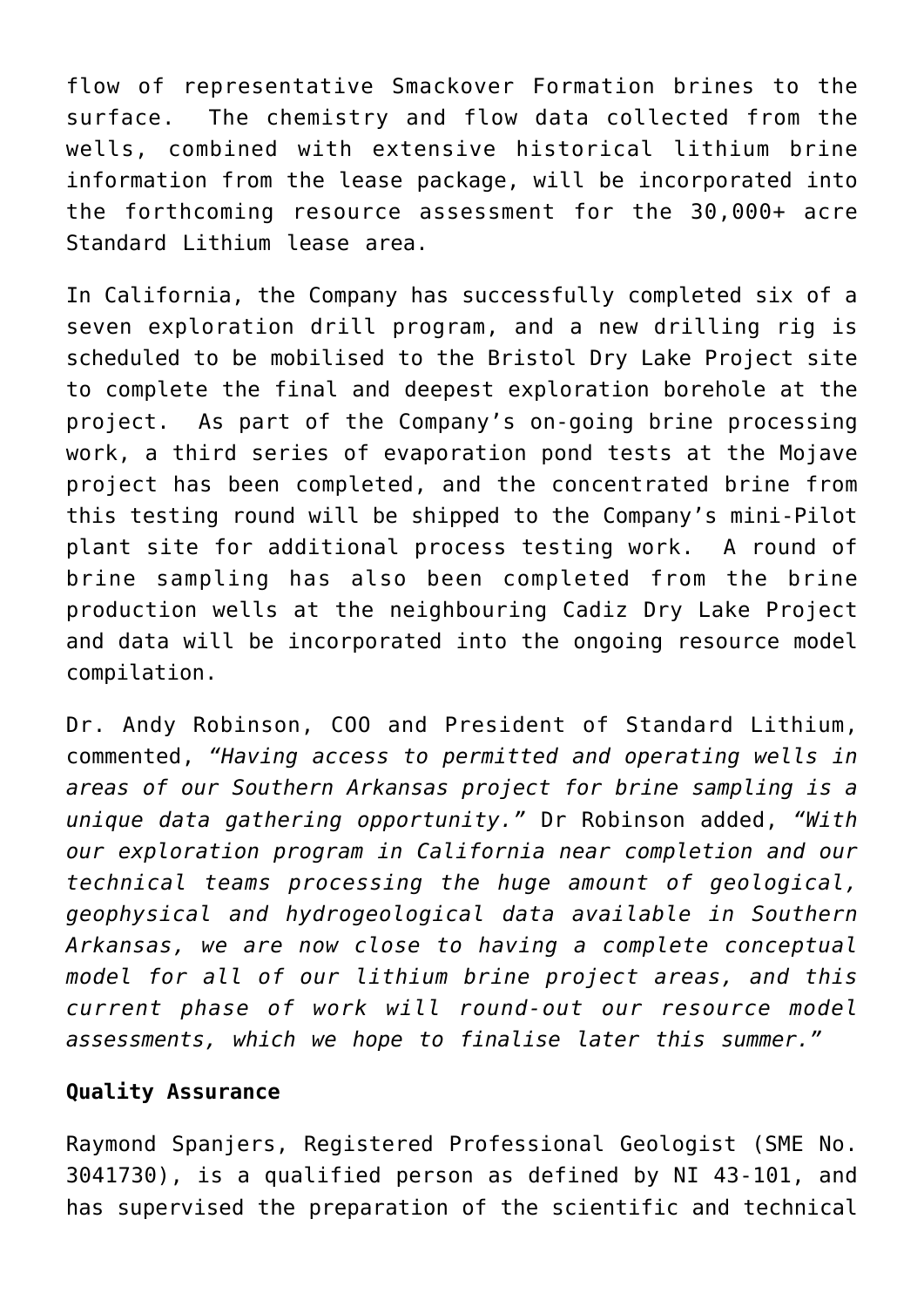flow of representative Smackover Formation brines to the surface. The chemistry and flow data collected from the wells, combined with extensive historical lithium brine information from the lease package, will be incorporated into the forthcoming resource assessment for the 30,000+ acre Standard Lithium lease area.

In California, the Company has successfully completed six of a seven exploration drill program, and a new drilling rig is scheduled to be mobilised to the Bristol Dry Lake Project site to complete the final and deepest exploration borehole at the project. As part of the Company's on-going brine processing work, a third series of evaporation pond tests at the Mojave project has been completed, and the concentrated brine from this testing round will be shipped to the Company's mini-Pilot plant site for additional process testing work. A round of brine sampling has also been completed from the brine production wells at the neighbouring Cadiz Dry Lake Project and data will be incorporated into the ongoing resource model compilation.

Dr. Andy Robinson, COO and President of Standard Lithium, commented, *"Having access to permitted and operating wells in areas of our Southern Arkansas project for brine sampling is a unique data gathering opportunity."* Dr Robinson added, *"With our exploration program in California near completion and our technical teams processing the huge amount of geological, geophysical and hydrogeological data available in Southern Arkansas, we are now close to having a complete conceptual model for all of our lithium brine project areas, and this current phase of work will round-out our resource model assessments, which we hope to finalise later this summer."*

# **Quality Assurance**

Raymond Spanjers, Registered Professional Geologist (SME No. 3041730), is a qualified person as defined by NI 43-101, and has supervised the preparation of the scientific and technical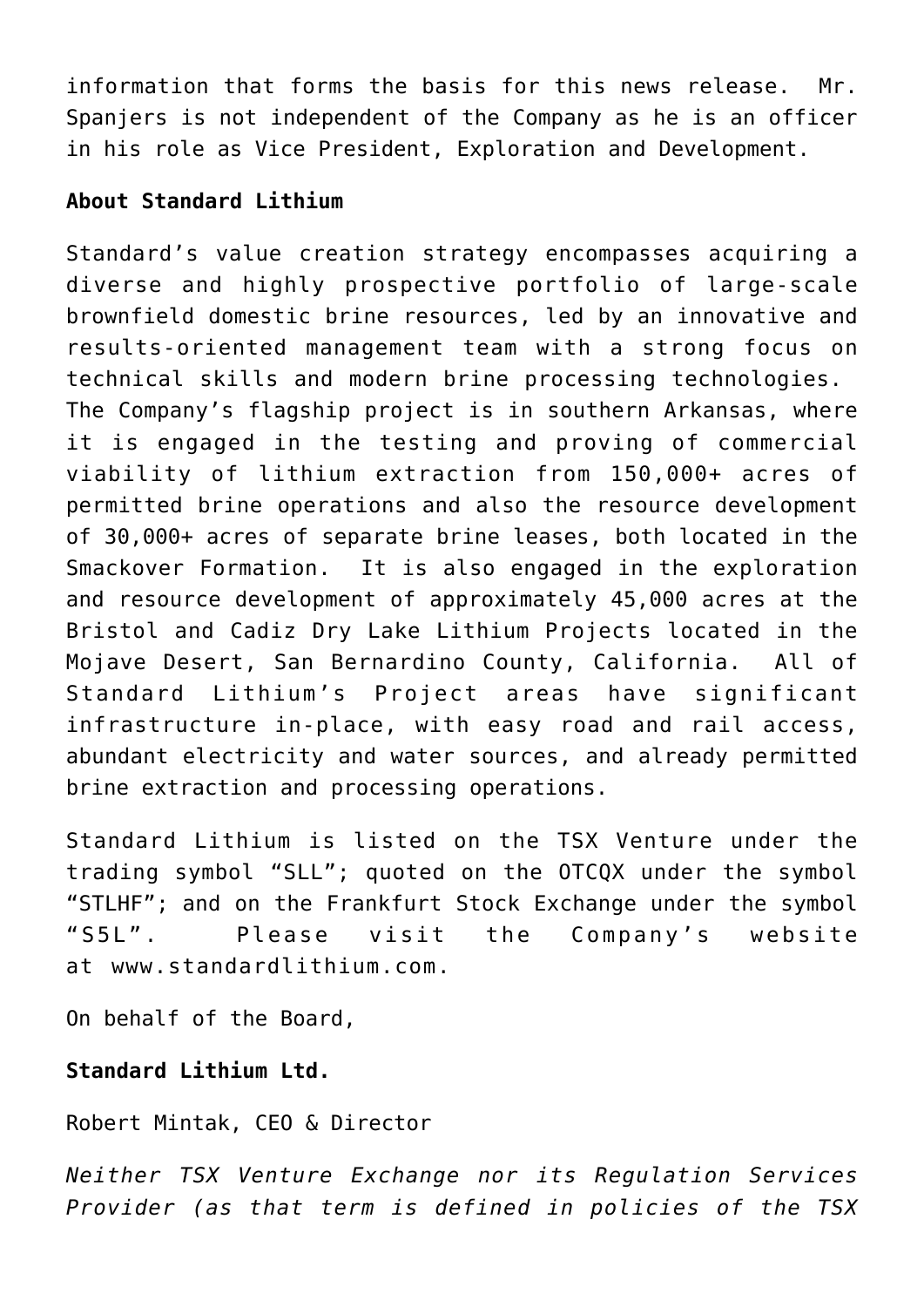information that forms the basis for this news release. Mr. Spanjers is not independent of the Company as he is an officer in his role as Vice President, Exploration and Development.

# **About Standard Lithium**

Standard's value creation strategy encompasses acquiring a diverse and highly prospective portfolio of large-scale brownfield domestic brine resources, led by an innovative and results-oriented management team with a strong focus on technical skills and modern brine processing technologies. The Company's flagship project is in southern Arkansas, where it is engaged in the testing and proving of commercial viability of lithium extraction from 150,000+ acres of permitted brine operations and also the resource development of 30,000+ acres of separate brine leases, both located in the Smackover Formation. It is also engaged in the exploration and resource development of approximately 45,000 acres at the Bristol and Cadiz Dry Lake Lithium Projects located in the Mojave Desert, San Bernardino County, California. All of Standard Lithium's Project areas have significant infrastructure in-place, with easy road and rail access, abundant electricity and water sources, and already permitted brine extraction and processing operations.

Standard Lithium is listed on the TSX Venture under the trading symbol "SLL"; quoted on the OTCQX under the symbol "STLHF"; and on the Frankfurt Stock Exchange under the symbol "S5L". Please visit the Company's website at [www.standardlithium.com.](https://www.globenewswire.com/Tracker?data=x8ne9Ln1eagiKarhHYmJ3VuUfjSrGD_ih9RfDzb0ehiksP0dc2jU-TgBmfsc7Vy-jSc0siqgMOm1uls3v8bI0R0uOe4pZRjoNBFrPFKG-ws=)

On behalf of the Board,

# **Standard Lithium Ltd.**

# Robert Mintak, CEO & Director

*Neither TSX Venture Exchange nor its Regulation Services Provider (as that term is defined in policies of the TSX*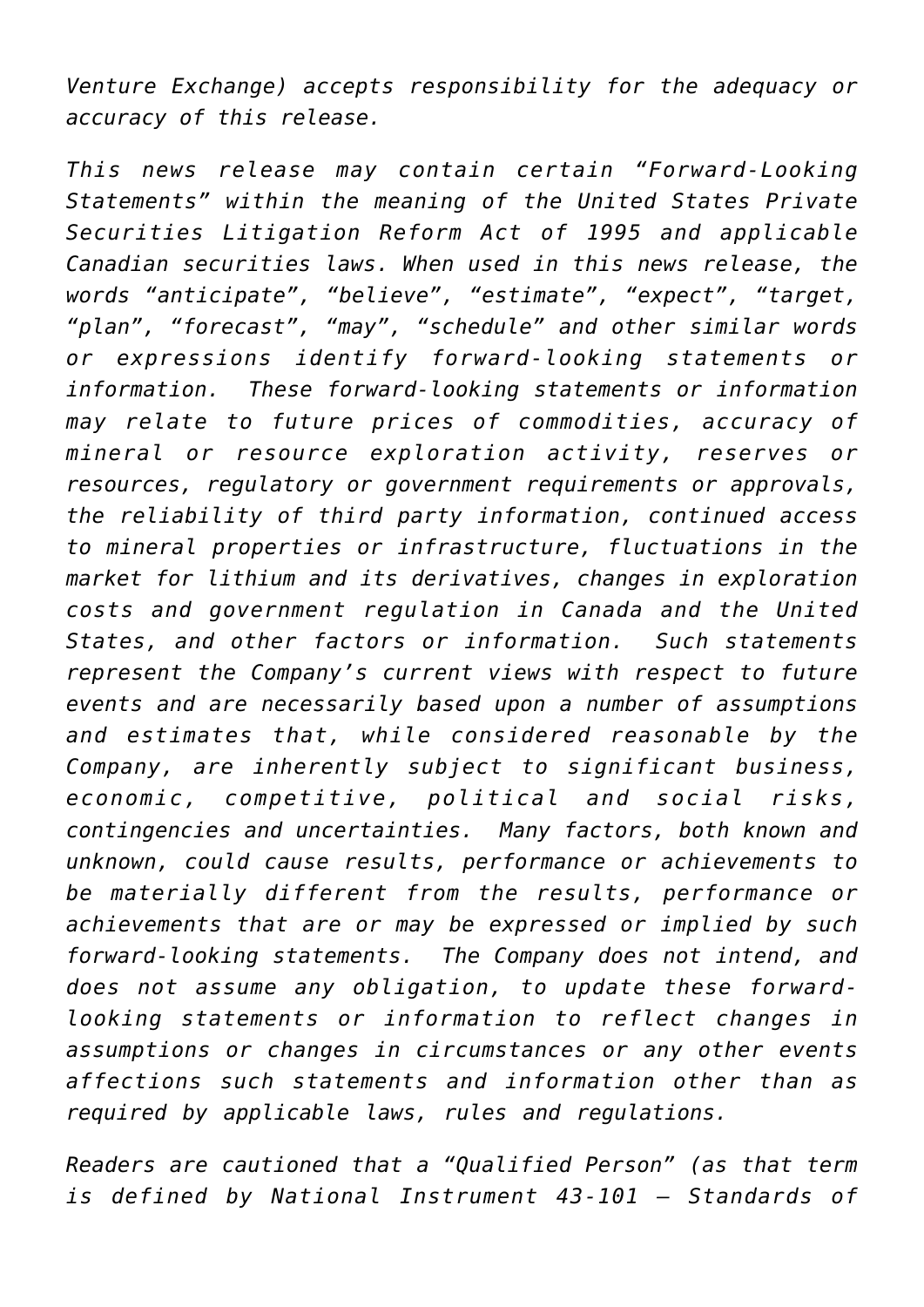*Venture Exchange) accepts responsibility for the adequacy or accuracy of this release.*

*This news release may contain certain "Forward-Looking Statements" within the meaning of the United States Private Securities Litigation Reform Act of 1995 and applicable Canadian securities laws. When used in this news release, the words "anticipate", "believe", "estimate", "expect", "target, "plan", "forecast", "may", "schedule" and other similar words or expressions identify forward-looking statements or information. These forward-looking statements or information may relate to future prices of commodities, accuracy of mineral or resource exploration activity, reserves or resources, regulatory or government requirements or approvals, the reliability of third party information, continued access to mineral properties or infrastructure, fluctuations in the market for lithium and its derivatives, changes in exploration costs and government regulation in Canada and the United States, and other factors or information. Such statements represent the Company's current views with respect to future events and are necessarily based upon a number of assumptions and estimates that, while considered reasonable by the Company, are inherently subject to significant business, economic, competitive, political and social risks, contingencies and uncertainties. Many factors, both known and unknown, could cause results, performance or achievements to be materially different from the results, performance or achievements that are or may be expressed or implied by such forward-looking statements. The Company does not intend, and does not assume any obligation, to update these forwardlooking statements or information to reflect changes in assumptions or changes in circumstances or any other events affections such statements and information other than as required by applicable laws, rules and regulations.*

*Readers are cautioned that a "Qualified Person" (as that term is defined by National Instrument 43-101 – Standards of*